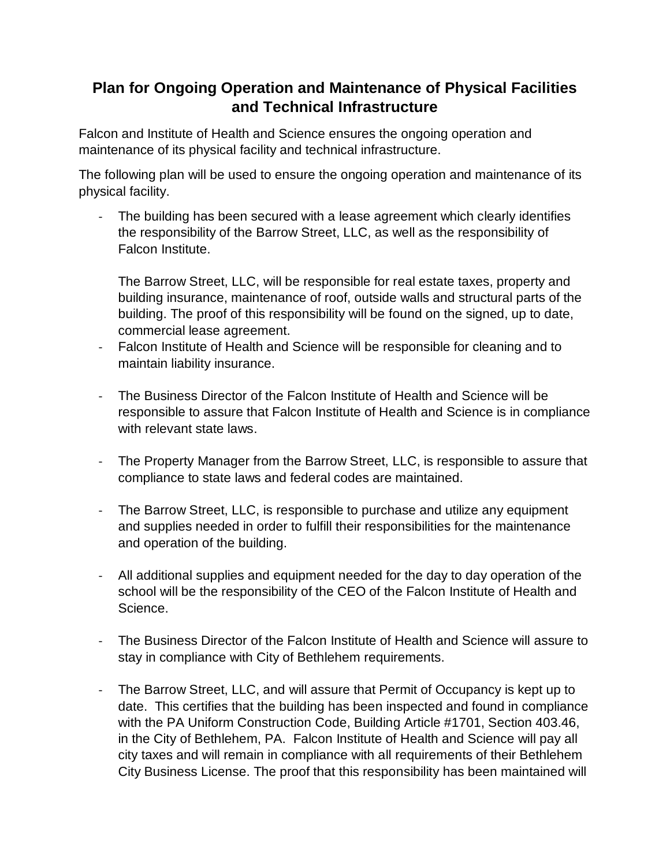## **Plan for Ongoing Operation and Maintenance of Physical Facilities and Technical Infrastructure**

Falcon and Institute of Health and Science ensures the ongoing operation and maintenance of its physical facility and technical infrastructure.

The following plan will be used to ensure the ongoing operation and maintenance of its physical facility.

The building has been secured with a lease agreement which clearly identifies the responsibility of the Barrow Street, LLC, as well as the responsibility of Falcon Institute.

The Barrow Street, LLC, will be responsible for real estate taxes, property and building insurance, maintenance of roof, outside walls and structural parts of the building. The proof of this responsibility will be found on the signed, up to date, commercial lease agreement.

- Falcon Institute of Health and Science will be responsible for cleaning and to maintain liability insurance.
- The Business Director of the Falcon Institute of Health and Science will be responsible to assure that Falcon Institute of Health and Science is in compliance with relevant state laws.
- The Property Manager from the Barrow Street, LLC, is responsible to assure that compliance to state laws and federal codes are maintained.
- The Barrow Street, LLC, is responsible to purchase and utilize any equipment and supplies needed in order to fulfill their responsibilities for the maintenance and operation of the building.
- All additional supplies and equipment needed for the day to day operation of the school will be the responsibility of the CEO of the Falcon Institute of Health and Science.
- The Business Director of the Falcon Institute of Health and Science will assure to stay in compliance with City of Bethlehem requirements.
- The Barrow Street, LLC, and will assure that Permit of Occupancy is kept up to date. This certifies that the building has been inspected and found in compliance with the PA Uniform Construction Code, Building Article #1701, Section 403.46, in the City of Bethlehem, PA. Falcon Institute of Health and Science will pay all city taxes and will remain in compliance with all requirements of their Bethlehem City Business License. The proof that this responsibility has been maintained will